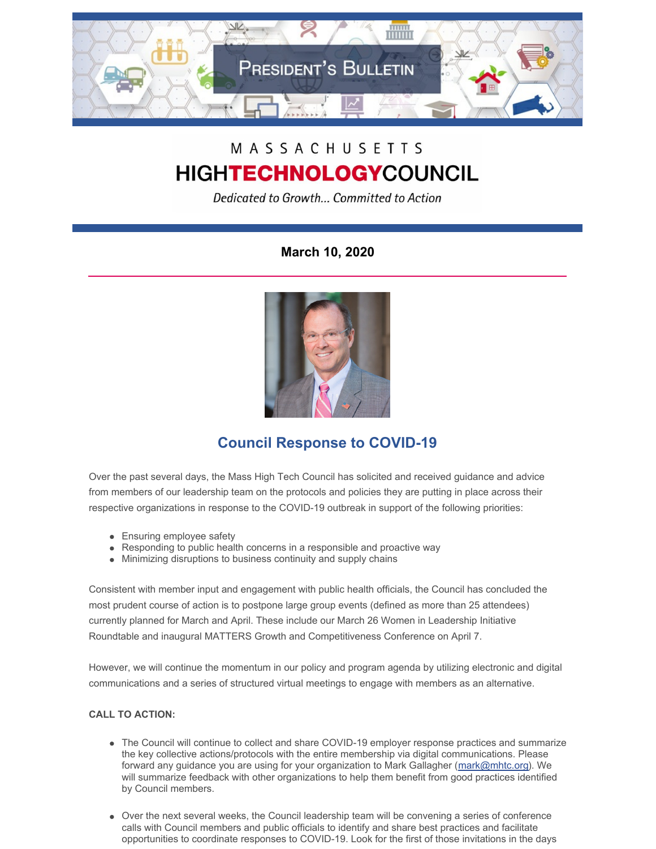

# MASSACHUSETTS **HIGHTECHNOLOGYCOUNCIL**

Dedicated to Growth... Committed to Action

**March 10, 2020**



# **Council Response to COVID-19**

Over the past several days, the Mass High Tech Council has solicited and received guidance and advice from members of our leadership team on the protocols and policies they are putting in place across their respective organizations in response to the COVID-19 outbreak in support of the following priorities:

- Ensuring employee safety
- Responding to public health concerns in a responsible and proactive way
- Minimizing disruptions to business continuity and supply chains

Consistent with member input and engagement with public health officials, the Council has concluded the most prudent course of action is to postpone large group events (defined as more than 25 attendees) currently planned for March and April. These include our March 26 Women in Leadership Initiative Roundtable and inaugural MATTERS Growth and Competitiveness Conference on April 7.

However, we will continue the momentum in our policy and program agenda by utilizing electronic and digital communications and a series of structured virtual meetings to engage with members as an alternative.

## **CALL TO ACTION:**

- The Council will continue to collect and share COVID-19 employer response practices and summarize the key collective actions/protocols with the entire membership via digital communications. Please forward any guidance you are using for your organization to Mark Gallagher [\(mark@mhtc.org](mailto:mark@mhtc.org)). We will summarize feedback with other organizations to help them benefit from good practices identified by Council members.
- Over the next several weeks, the Council leadership team will be convening a series of conference calls with Council members and public officials to identify and share best practices and facilitate opportunities to coordinate responses to COVID-19. Look for the first of those invitations in the days